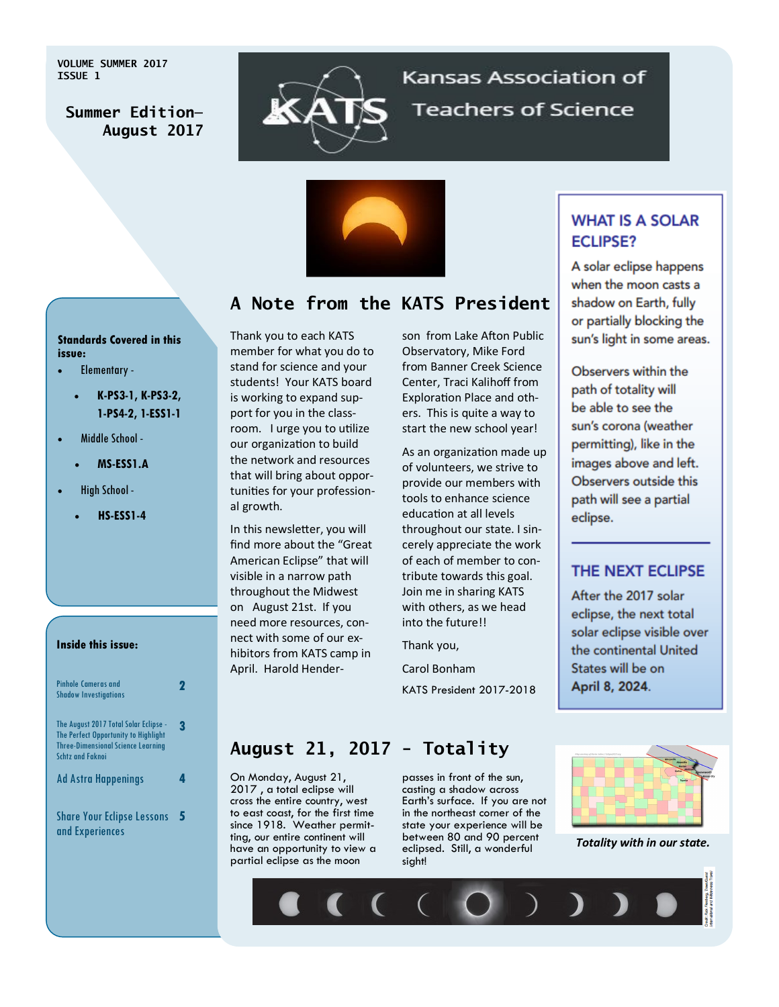**VOLUME SUMMER 2017 ISSUE 1**



# Kansas Association of **Teachers of Science**



## **A Note from the KATS President**

#### **Standards Covered in this issue:**

- Elementary
	- **K-PS3-1, K-PS3-2, 1-PS4-2, 1-ESS1-1**
- Middle School
	- **MS-ESS1.A**
- High School
	- **HS-ESS1-4**

#### **Inside this issue:**

| Pinhole Cameras and<br><b>Shadow Investigations</b>                                                                                                   | I. |
|-------------------------------------------------------------------------------------------------------------------------------------------------------|----|
| The August 2017 Total Solar Eclipse -<br>The Perfect Opportunity to Highlight<br><b>Three-Dimensional Science Learning</b><br><b>Schtz and Faknoi</b> | R  |
| <b>Ad Astra Happenings</b>                                                                                                                            |    |
| <b>Share Your Eclipse Lessons</b><br>and Experiences                                                                                                  |    |

Thank you to each KATS member for what you do to stand for science and your students! Your KATS board is working to expand support for you in the classroom. I urge you to utilize our organization to build the network and resources that will bring about opportunities for your professional growth.

In this newsletter, you will find more about the "Great American Eclipse" that will visible in a narrow path throughout the Midwest on August 21st. If you need more resources, connect with some of our exhibitors from KATS camp in April. Harold Henderson from Lake Afton Public Observatory, Mike Ford from Banner Creek Science Center, Traci Kalihoff from Exploration Place and others. This is quite a way to start the new school year!

As an organization made up of volunteers, we strive to provide our members with tools to enhance science education at all levels throughout our state. I sincerely appreciate the work of each of member to contribute towards this goal. Join me in sharing KATS with others, as we head into the future!!

Thank you,

Carol Bonham KATS President 2017-2018

#### **WHAT IS A SOLAR ECLIPSE?**

A solar eclipse happens when the moon casts a shadow on Earth, fully or partially blocking the sun's light in some areas.

Observers within the path of totality will be able to see the sun's corona (weather permitting), like in the images above and left. Observers outside this path will see a partial eclipse.

#### THE NEXT ECLIPSE

After the 2017 solar eclipse, the next total solar eclipse visible over the continental United States will be on April 8, 2024.

## **August 21, 2017 - Totality**

On Monday, August 21, 2017 , a total eclipse will cross the entire country, west to east coast, for the first time since 1918. Weather permitting, our entire continent will have an opportunity to view a partial eclipse as the moon

passes in front of the sun, casting a shadow across Earth's surface. If you are not in the northeast corner of the state your experience will be between 80 and 90 percent eclipsed. Still, a wonderful sight!



*Totality with in our state.* 

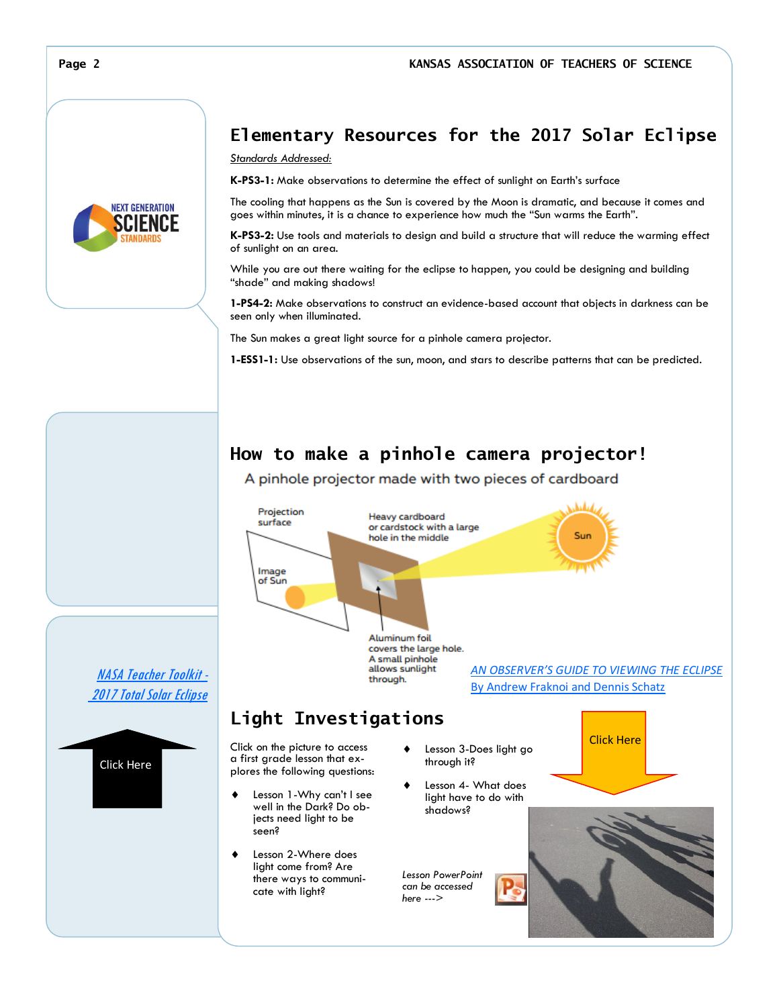## **Elementary Resources for the 2017 Solar Eclipse**

#### *Standards Addressed:*

**K-PS3-1:** Make observations to determine the effect of sunlight on Earth's surface

The cooling that happens as the Sun is covered by the Moon is dramatic, and because it comes and goes within minutes, it is a chance to experience how much the "Sun warms the Earth".

**K-PS3-2:** Use tools and materials to design and build a structure that will reduce the warming effect of sunlight on an area.

While you are out there waiting for the eclipse to happen, you could be designing and building "shade" and making shadows!

**1-PS4-2:** Make observations to construct an evidence-based account that objects in darkness can be seen only when illuminated.

The Sun makes a great light source for a pinhole camera projector.

**1-ESS1-1:** Use observations of the sun, moon, and stars to describe patterns that can be predicted.

#### **How to make a pinhole camera projector!**

A pinhole projector made with two pieces of cardboard





Click Here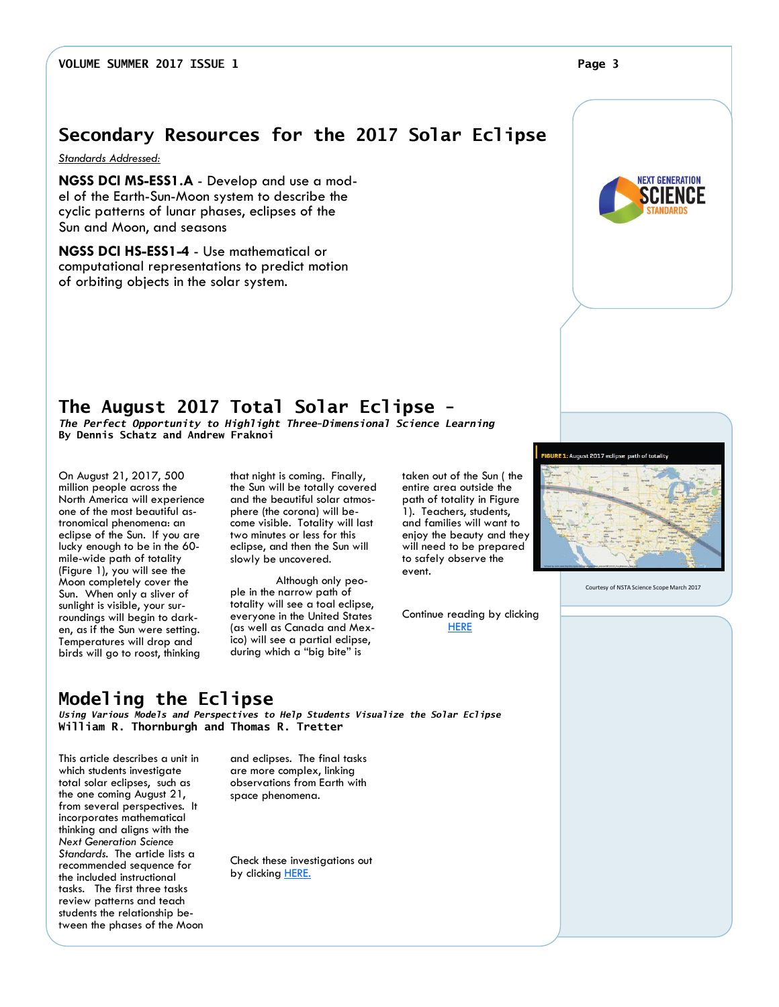*Standards Addressed:* 

**NGSS DCI MS-ESS1.A** - Develop and use a model of the Earth-Sun-Moon system to describe the cyclic patterns of lunar phases, eclipses of the Sun and Moon, and seasons

**NGSS DCI HS-ESS1-4** - Use mathematical or computational representations to predict motion of orbiting objects in the solar system.

### **The August 2017 Total Solar Eclipse -**

*The Perfect Opportunity to Highlight Three-Dimensional Science Learning* **By Dennis Schatz and Andrew Fraknoi**

On August 21, 2017, 500 million people across the North America will experience one of the most beautiful astronomical phenomena: an eclipse of the Sun. If you are lucky enough to be in the 60 mile-wide path of totality (Figure 1), you will see the Moon completely cover the Sun. When only a sliver of sunlight is visible, your surroundings will begin to darken, as if the Sun were setting. Temperatures will drop and birds will go to roost, thinking

that night is coming. Finally, the Sun will be totally covered and the beautiful solar atmosphere (the corona) will become visible. Totality will last two minutes or less for this eclipse, and then the Sun will slowly be uncovered.

Although only people in the narrow path of totality will see a toal eclipse, everyone in the United States (as well as Canada and Mexico) will see a partial eclipse, during which a "big bite" is

taken out of the Sun ( the entire area outside the path of totality in Figure 1). Teachers, students, and families will want to enjoy the beauty and they will need to be prepared to safely observe the event.

Continue reading by clicking **[HERE](http://static.nsta.org/files/ss1707_40.pdf)** 

**Modeling the Eclipse**  *Using Various Models and Perspectives to Help Students Visualize the Solar Eclipse*

**William R. Thornburgh and Thomas R. Tretter**

This article describes a unit in which students investigate total solar eclipses, such as the one coming August 21, from several perspectives. It incorporates mathematical thinking and aligns with the *Next Generation Science Standards*. The article lists a recommended sequence for the included instructional tasks. The first three tasks review patterns and teach students the relationship between the phases of the Moon and eclipses. The final tasks are more complex, linking observations from Earth with space phenomena.

Check these investigations out by clicking **[HERE.](http://static.nsta.org/files/tst1703_47.pdf)** 



Courtesy of NSTA Science Scope March 2017

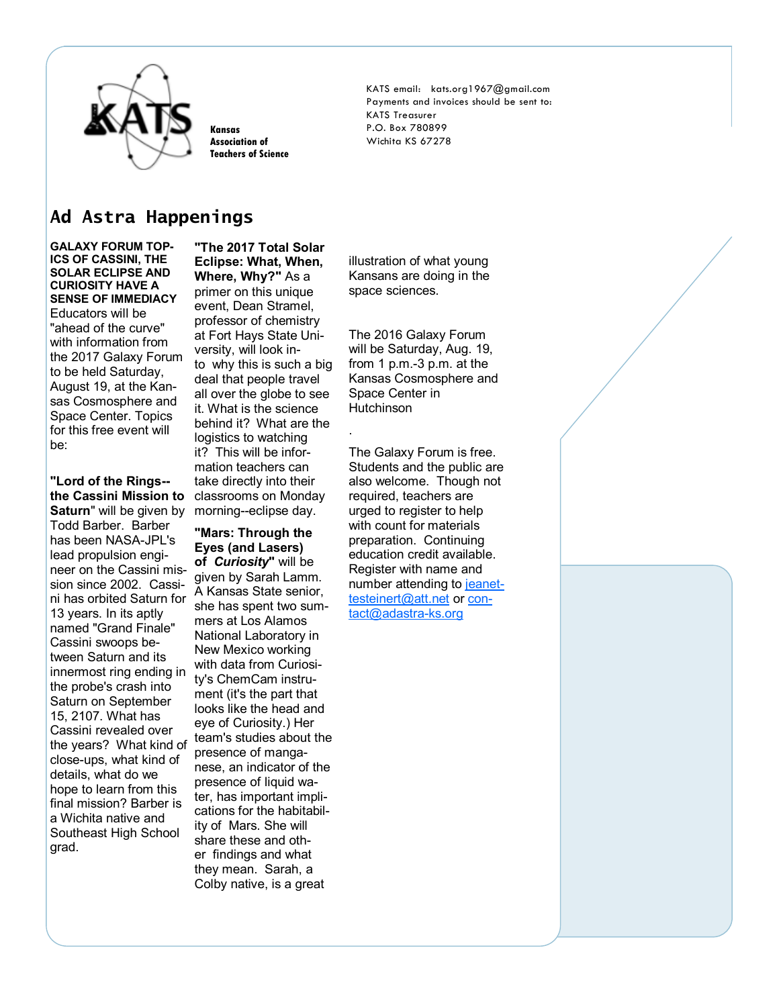

**Kansas Association of Teachers of Science** KATS email: kats.org1967@gmail.com Payments and invoices should be sent to: KATS Treasurer P.O. Box 780899 Wichita KS 67278

### **Ad Astra Happenings**

**GALAXY FORUM TOP-ICS OF CASSINI, THE SOLAR ECLIPSE AND CURIOSITY HAVE A SENSE OF IMMEDIACY** Educators will be

"ahead of the curve" with information from the 2017 Galaxy Forum to be held Saturday, August 19, at the Kansas Cosmosphere and Space Center. Topics for this free event will be:

Saturn" will be given by morning--eclipse day. **"Lord of the Rings- the Cassini Mission to**  Todd Barber. Barber has been NASA-JPL's lead propulsion engineer on the Cassini mission since 2002. Cassini has orbited Saturn for 13 years. In its aptly named "Grand Finale" Cassini swoops between Saturn and its innermost ring ending in the probe's crash into Saturn on September 15, 2107. What has Cassini revealed over the years? What kind of close-ups, what kind of details, what do we hope to learn from this final mission? Barber is a Wichita native and Southeast High School grad.

**"The 2017 Total Solar Eclipse: What, When, Where, Why?"** As a primer on this unique event, Dean Stramel, professor of chemistry at Fort Hays State University, will look into why this is such a big deal that people travel all over the globe to see it. What is the science behind it? What are the logistics to watching it? This will be information teachers can take directly into their classrooms on Monday

#### **"Mars: Through the Eyes (and Lasers)**

**of** *Curiosity***"** will be given by Sarah Lamm. A Kansas State senior, she has spent two summers at Los Alamos National Laboratory in New Mexico working with data from Curiosity's ChemCam instrument (it's the part that looks like the head and eye of Curiosity.) Her team's studies about the presence of manganese, an indicator of the presence of liquid water, has important implications for the habitability of Mars. She will share these and other findings and what they mean. Sarah, a Colby native, is a great

illustration of what young Kansans are doing in the space sciences.

The 2016 Galaxy Forum will be Saturday, Aug. 19, from 1 p.m.-3 p.m. at the Kansas Cosmosphere and Space Center in Hutchinson

.

The Galaxy Forum is free. Students and the public are also welcome. Though not required, teachers are urged to register to help with count for materials preparation. Continuing education credit available. Register with name and number attending to [jeanet](mailto:jeanettesteinert@att.net)[testeinert@att.net](mailto:jeanettesteinert@att.net) or [con](mailto:contact@adastra-ks.org)[tact@adastra](mailto:contact@adastra-ks.org)-ks.org